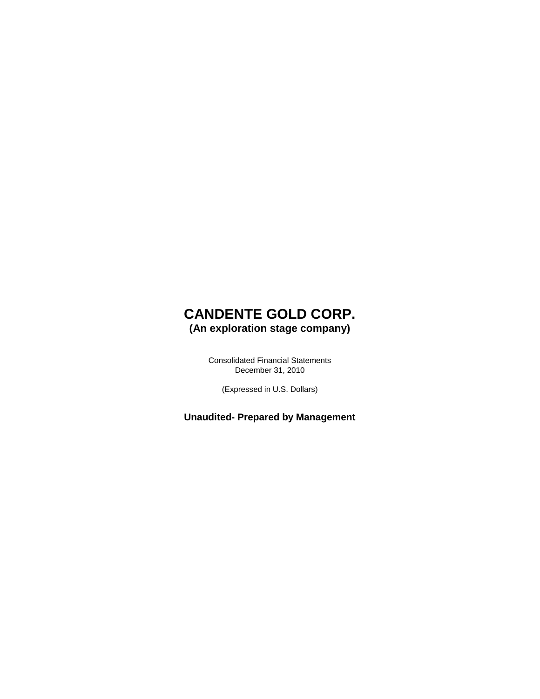### **CANDENTE GOLD CORP. (An exploration stage company)**

Consolidated Financial Statements December 31, 2010

(Expressed in U.S. Dollars)

**Unaudited- Prepared by Management**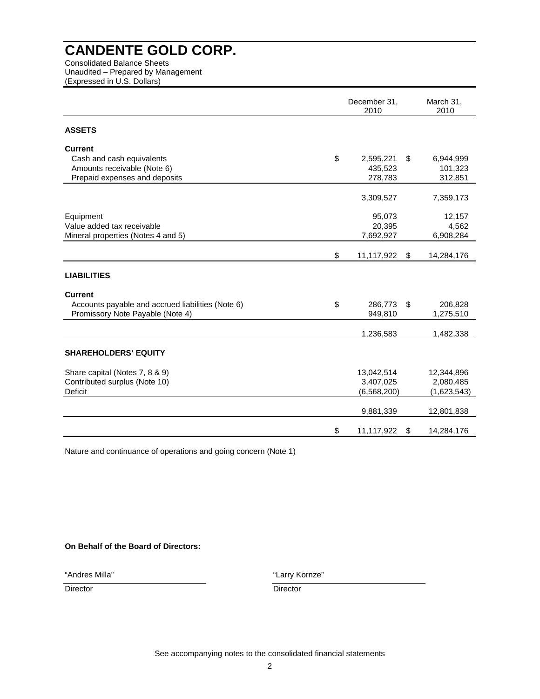Consolidated Balance Sheets Unaudited – Prepared by Management (Expressed in U.S. Dollars)

|                                                                 |               | December 31,<br>2010 |    |                         |
|-----------------------------------------------------------------|---------------|----------------------|----|-------------------------|
| <b>ASSETS</b>                                                   |               |                      |    |                         |
| <b>Current</b>                                                  |               |                      |    |                         |
| Cash and cash equivalents                                       | \$            | 2,595,221            | \$ | 6,944,999               |
| Amounts receivable (Note 6)                                     |               | 435.523              |    | 101,323                 |
| Prepaid expenses and deposits                                   |               | 278,783              |    | 312,851                 |
|                                                                 |               |                      |    |                         |
|                                                                 |               | 3,309,527            |    | 7,359,173               |
| Equipment                                                       |               | 95,073               |    | 12,157                  |
| Value added tax receivable                                      |               | 20,395               |    | 4,562                   |
| Mineral properties (Notes 4 and 5)                              |               | 7,692,927            |    | 6,908,284               |
|                                                                 | \$            | 11,117,922           | \$ | 14,284,176              |
| <b>LIABILITIES</b>                                              |               |                      |    |                         |
| <b>Current</b>                                                  |               |                      |    |                         |
| Accounts payable and accrued liabilities (Note 6)               | $\mathsf{\$}$ | 286,773              | \$ | 206,828                 |
| Promissory Note Payable (Note 4)                                |               | 949,810              |    | 1,275,510               |
|                                                                 |               | 1,236,583            |    | 1,482,338               |
| <b>SHAREHOLDERS' EQUITY</b>                                     |               |                      |    |                         |
|                                                                 |               | 13,042,514           |    |                         |
| Share capital (Notes 7, 8 & 9)<br>Contributed surplus (Note 10) |               | 3,407,025            |    | 12,344,896<br>2,080,485 |
| <b>Deficit</b>                                                  |               | (6, 568, 200)        |    | (1,623,543)             |
|                                                                 |               |                      |    |                         |
|                                                                 |               | 9,881,339            |    | 12,801,838              |
|                                                                 | \$            | 11,117,922           | \$ | 14,284,176              |

Nature and continuance of operations and going concern (Note 1)

### **On Behalf of the Board of Directors:**

"Andres Milla"

"Larry Kornze"

Director Director **Director** Director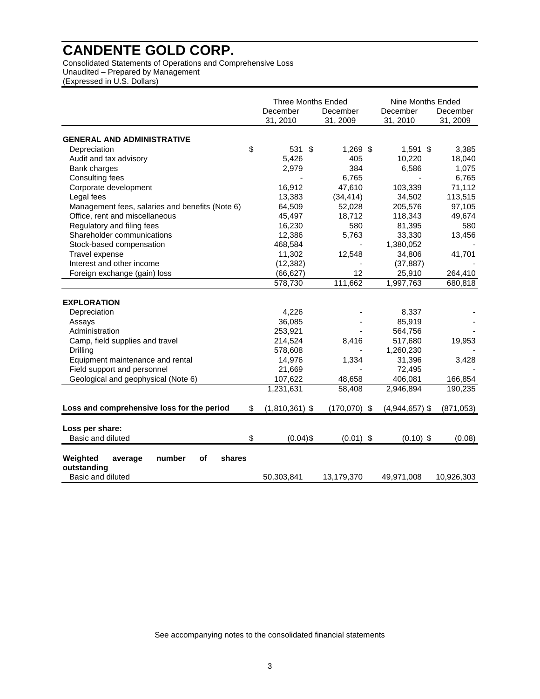Consolidated Statements of Operations and Comprehensive Loss Unaudited – Prepared by Management (Expressed in U.S. Dollars)

|                                                                                   | <b>Three Months Ended</b><br>December<br>31, 2010 | December<br>31, 2009 | Nine Months Ended<br>December<br>31, 2010 | December<br>31, 2009 |
|-----------------------------------------------------------------------------------|---------------------------------------------------|----------------------|-------------------------------------------|----------------------|
| <b>GENERAL AND ADMINISTRATIVE</b>                                                 |                                                   |                      |                                           |                      |
|                                                                                   | \$<br>531 \$                                      |                      |                                           |                      |
| Depreciation<br>Audit and tax advisory                                            | 5,426                                             | $1,269$ \$<br>405    | $1,591$ \$<br>10,220                      | 3,385<br>18,040      |
| Bank charges                                                                      | 2,979                                             | 384                  | 6,586                                     | 1,075                |
| Consulting fees                                                                   |                                                   | 6,765                |                                           | 6,765                |
| Corporate development                                                             | 16,912                                            | 47,610               | 103,339                                   | 71,112               |
| Legal fees                                                                        | 13,383                                            | (34, 414)            | 34,502                                    | 113,515              |
| Management fees, salaries and benefits (Note 6)                                   | 64,509                                            | 52,028               | 205,576                                   | 97,105               |
| Office, rent and miscellaneous                                                    | 45,497                                            | 18,712               | 118,343                                   | 49,674               |
| Regulatory and filing fees                                                        | 16,230                                            | 580                  | 81,395                                    | 580                  |
| Shareholder communications                                                        | 12,386                                            | 5,763                | 33,330                                    | 13,456               |
| Stock-based compensation                                                          | 468,584                                           |                      | 1,380,052                                 |                      |
| Travel expense                                                                    | 11,302                                            | 12,548               | 34,806                                    | 41,701               |
| Interest and other income                                                         | (12, 382)                                         |                      | (37, 887)                                 |                      |
| Foreign exchange (gain) loss                                                      | (66, 627)                                         | 12                   | 25,910                                    | 264,410              |
|                                                                                   | 578,730                                           | 111,662              | 1,997,763                                 | 680,818              |
| <b>EXPLORATION</b>                                                                |                                                   |                      |                                           |                      |
| Depreciation                                                                      | 4,226                                             |                      | 8,337                                     |                      |
| Assays                                                                            | 36,085                                            |                      | 85,919                                    |                      |
| Administration                                                                    | 253,921                                           |                      | 564,756                                   |                      |
| Camp, field supplies and travel                                                   | 214,524                                           | 8,416                | 517,680                                   | 19,953               |
| Drilling                                                                          | 578,608                                           |                      | 1,260,230                                 |                      |
| Equipment maintenance and rental                                                  | 14.976                                            | 1,334                | 31,396                                    | 3,428                |
| Field support and personnel                                                       | 21,669                                            |                      | 72,495                                    |                      |
| Geological and geophysical (Note 6)                                               | 107,622                                           | 48,658               | 406,081                                   | 166,854              |
|                                                                                   | 1,231,631                                         | 58,408               | 2,946,894                                 | 190,235              |
| Loss and comprehensive loss for the period                                        | \$<br>$(1,810,361)$ \$                            | $(170,070)$ \$       | $(4,944,657)$ \$                          | (871, 053)           |
| Loss per share:                                                                   |                                                   |                      |                                           |                      |
| Basic and diluted                                                                 | \$<br>$(0.04)$ \$                                 | $(0.01)$ \$          | $(0.10)$ \$                               | (0.08)               |
| number<br>of<br>Weighted<br>shares<br>average<br>outstanding<br>Basic and diluted | 50,303,841                                        | 13,179,370           | 49,971,008                                | 10,926,303           |

See accompanying notes to the consolidated financial statements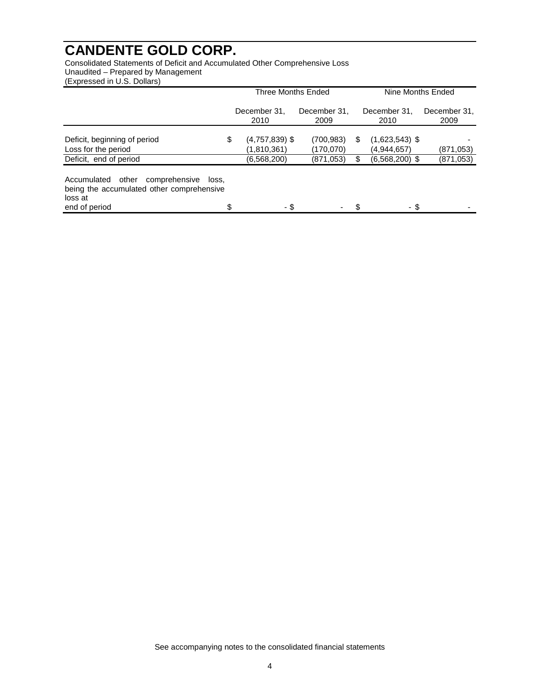Consolidated Statements of Deficit and Accumulated Other Comprehensive Loss Unaudited – Prepared by Management (Expressed in U.S. Dollars)

|                                                                                                                         | Three Months Ended         |                        |   | Nine Months Ended               |                         |  |
|-------------------------------------------------------------------------------------------------------------------------|----------------------------|------------------------|---|---------------------------------|-------------------------|--|
|                                                                                                                         | December 31,<br>2010       | December 31,<br>2009   |   | December 31.<br>2010            | December 31,<br>2009    |  |
| Deficit, beginning of period                                                                                            | \$<br>$(4,757,839)$ \$     | (700, 983)             | S | $(1,623,543)$ \$                |                         |  |
| Loss for the period<br>Deficit, end of period                                                                           | (1,810,361)<br>(6,568,200) | (170,070)<br>(871,053) |   | (4,944,657)<br>$(6,568,200)$ \$ | (871,053)<br>(871, 053) |  |
| Accumulated<br>comprehensive<br>other<br>loss.<br>being the accumulated other comprehensive<br>loss at<br>end of period | \$<br>- \$                 |                        |   | - \$                            |                         |  |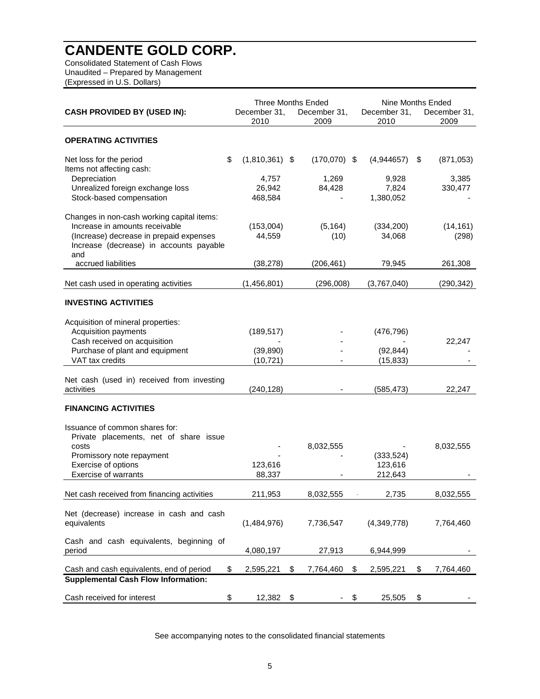Consolidated Statement of Cash Flows Unaudited – Prepared by Management (Expressed in U.S. Dollars)

|                                                                                           |                  | <b>Three Months Ended</b> |                 | Nine Months Ended |      |                  |
|-------------------------------------------------------------------------------------------|------------------|---------------------------|-----------------|-------------------|------|------------------|
| <b>CASH PROVIDED BY (USED IN):</b>                                                        | December 31.     | December 31,              |                 | December 31,      |      | December 31,     |
|                                                                                           | 2010             | 2009                      |                 | 2010              |      | 2009             |
| <b>OPERATING ACTIVITIES</b>                                                               |                  |                           |                 |                   |      |                  |
| \$<br>Net loss for the period<br>Items not affecting cash:                                | $(1,810,361)$ \$ |                           | $(170,070)$ \$  | (4,944657)        | S.   | (871, 053)       |
| Depreciation<br>Unrealized foreign exchange loss                                          | 4,757<br>26,942  |                           | 1,269<br>84,428 | 9,928<br>7,824    |      | 3,385<br>330,477 |
| Stock-based compensation                                                                  | 468,584          |                           |                 | 1,380,052         |      |                  |
| Changes in non-cash working capital items:<br>Increase in amounts receivable              | (153,004)        |                           | (5, 164)        | (334, 200)        |      | (14, 161)        |
| (Increase) decrease in prepaid expenses<br>Increase (decrease) in accounts payable<br>and | 44,559           |                           | (10)            | 34,068            |      | (298)            |
| accrued liabilities                                                                       | (38, 278)        |                           | (206, 461)      | 79,945            |      | 261,308          |
| Net cash used in operating activities                                                     | (1,456,801)      |                           | (296,008)       | (3,767,040)       |      | (290, 342)       |
| <b>INVESTING ACTIVITIES</b>                                                               |                  |                           |                 |                   |      |                  |
| Acquisition of mineral properties:<br><b>Acquisition payments</b>                         | (189, 517)       |                           |                 | (476, 796)        |      |                  |
| Cash received on acquisition                                                              |                  |                           |                 |                   |      | 22,247           |
| Purchase of plant and equipment                                                           | (39, 890)        |                           |                 | (92, 844)         |      |                  |
| VAT tax credits                                                                           | (10, 721)        |                           |                 | (15, 833)         |      |                  |
| Net cash (used in) received from investing<br>activities                                  | (240, 128)       |                           |                 | (585, 473)        |      | 22,247           |
| <b>FINANCING ACTIVITIES</b>                                                               |                  |                           |                 |                   |      |                  |
| Issuance of common shares for:<br>Private placements, net of share issue                  |                  |                           |                 |                   |      |                  |
| costs                                                                                     |                  | 8,032,555                 |                 |                   |      | 8,032,555        |
| Promissory note repayment                                                                 |                  |                           |                 | (333, 524)        |      |                  |
| Exercise of options                                                                       | 123,616          |                           |                 | 123,616           |      |                  |
| Exercise of warrants                                                                      | 88,337           |                           |                 | 212,643           |      |                  |
| Net cash received from financing activities                                               | 211,953          | 8,032,555                 |                 | 2,735             |      | 8,032,555        |
| Net (decrease) increase in cash and cash<br>equivalents                                   | (1,484,976)      | 7,736,547                 |                 | (4,349,778)       |      | 7,764,460        |
| Cash and cash equivalents, beginning of<br>period                                         | 4,080,197        |                           | 27,913          | 6,944,999         |      |                  |
| Cash and cash equivalents, end of period<br>\$                                            | 2,595,221        | \$<br>7,764,460           |                 | 2,595,221<br>\$   | \$   | 7,764,460        |
| <b>Supplemental Cash Flow Information:</b>                                                |                  |                           |                 |                   |      |                  |
| Cash received for interest<br>\$                                                          | 12,382 \$        |                           |                 | \$<br>25,505      | - \$ |                  |

See accompanying notes to the consolidated financial statements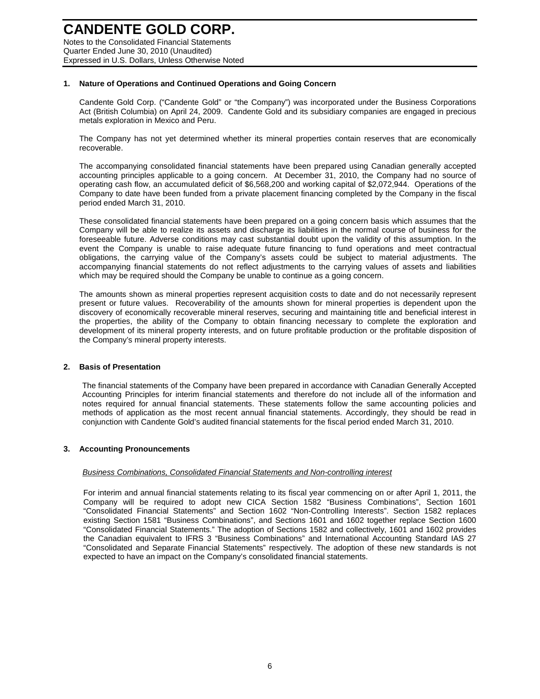### **CANDENTE GOLD CORP.**  Notes to the Consolidated Financial Statements

Quarter Ended June 30, 2010 (Unaudited) Expressed in U.S. Dollars, Unless Otherwise Noted

### **1. Nature of Operations and Continued Operations and Going Concern**

Candente Gold Corp. ("Candente Gold" or "the Company") was incorporated under the Business Corporations Act (British Columbia) on April 24, 2009. Candente Gold and its subsidiary companies are engaged in precious metals exploration in Mexico and Peru.

The Company has not yet determined whether its mineral properties contain reserves that are economically recoverable.

The accompanying consolidated financial statements have been prepared using Canadian generally accepted accounting principles applicable to a going concern. At December 31, 2010, the Company had no source of operating cash flow, an accumulated deficit of \$6,568,200 and working capital of \$2,072,944. Operations of the Company to date have been funded from a private placement financing completed by the Company in the fiscal period ended March 31, 2010.

These consolidated financial statements have been prepared on a going concern basis which assumes that the Company will be able to realize its assets and discharge its liabilities in the normal course of business for the foreseeable future. Adverse conditions may cast substantial doubt upon the validity of this assumption. In the event the Company is unable to raise adequate future financing to fund operations and meet contractual obligations, the carrying value of the Company's assets could be subject to material adjustments. The accompanying financial statements do not reflect adjustments to the carrying values of assets and liabilities which may be required should the Company be unable to continue as a going concern.

The amounts shown as mineral properties represent acquisition costs to date and do not necessarily represent present or future values. Recoverability of the amounts shown for mineral properties is dependent upon the discovery of economically recoverable mineral reserves, securing and maintaining title and beneficial interest in the properties, the ability of the Company to obtain financing necessary to complete the exploration and development of its mineral property interests, and on future profitable production or the profitable disposition of the Company's mineral property interests.

#### **2. Basis of Presentation**

The financial statements of the Company have been prepared in accordance with Canadian Generally Accepted Accounting Principles for interim financial statements and therefore do not include all of the information and notes required for annual financial statements. These statements follow the same accounting policies and methods of application as the most recent annual financial statements. Accordingly, they should be read in conjunction with Candente Gold's audited financial statements for the fiscal period ended March 31, 2010.

### **3. Accounting Pronouncements**

#### Business Combinations, Consolidated Financial Statements and Non-controlling interest

For interim and annual financial statements relating to its fiscal year commencing on or after April 1, 2011, the Company will be required to adopt new CICA Section 1582 "Business Combinations", Section 1601 "Consolidated Financial Statements" and Section 1602 "Non-Controlling Interests". Section 1582 replaces existing Section 1581 "Business Combinations", and Sections 1601 and 1602 together replace Section 1600 "Consolidated Financial Statements." The adoption of Sections 1582 and collectively, 1601 and 1602 provides the Canadian equivalent to IFRS 3 "Business Combinations" and International Accounting Standard IAS 27 "Consolidated and Separate Financial Statements" respectively. The adoption of these new standards is not expected to have an impact on the Company's consolidated financial statements.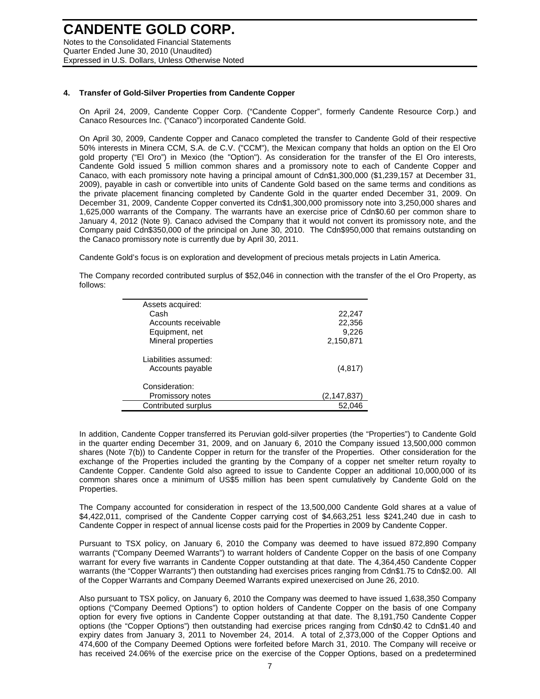Notes to the Consolidated Financial Statements Quarter Ended June 30, 2010 (Unaudited) Expressed in U.S. Dollars, Unless Otherwise Noted

### **4. Transfer of Gold-Silver Properties from Candente Copper**

On April 24, 2009, Candente Copper Corp. ("Candente Copper", formerly Candente Resource Corp.) and Canaco Resources Inc. ("Canaco") incorporated Candente Gold.

On April 30, 2009, Candente Copper and Canaco completed the transfer to Candente Gold of their respective 50% interests in Minera CCM, S.A. de C.V. ("CCM"), the Mexican company that holds an option on the El Oro gold property ("El Oro") in Mexico (the "Option"). As consideration for the transfer of the El Oro interests, Candente Gold issued 5 million common shares and a promissory note to each of Candente Copper and Canaco, with each promissory note having a principal amount of Cdn\$1,300,000 (\$1,239,157 at December 31, 2009), payable in cash or convertible into units of Candente Gold based on the same terms and conditions as the private placement financing completed by Candente Gold in the quarter ended December 31, 2009. On December 31, 2009, Candente Copper converted its Cdn\$1,300,000 promissory note into 3,250,000 shares and 1,625,000 warrants of the Company. The warrants have an exercise price of Cdn\$0.60 per common share to January 4, 2012 (Note 9). Canaco advised the Company that it would not convert its promissory note, and the Company paid Cdn\$350,000 of the principal on June 30, 2010. The Cdn\$950,000 that remains outstanding on the Canaco promissory note is currently due by April 30, 2011.

Candente Gold's focus is on exploration and development of precious metals projects in Latin America.

The Company recorded contributed surplus of \$52,046 in connection with the transfer of the el Oro Property, as follows:

| Assets acquired:     |             |
|----------------------|-------------|
| Cash                 | 22,247      |
| Accounts receivable  | 22,356      |
| Equipment, net       | 9,226       |
| Mineral properties   | 2,150,871   |
| Liabilities assumed: |             |
| Accounts payable     | (4, 817)    |
| Consideration:       |             |
| Promissory notes     | (2,147,837) |
| Contributed surplus  | 52.046      |

In addition, Candente Copper transferred its Peruvian gold-silver properties (the "Properties") to Candente Gold in the quarter ending December 31, 2009, and on January 6, 2010 the Company issued 13,500,000 common shares (Note 7(b)) to Candente Copper in return for the transfer of the Properties. Other consideration for the exchange of the Properties included the granting by the Company of a copper net smelter return royalty to Candente Copper. Candente Gold also agreed to issue to Candente Copper an additional 10,000,000 of its common shares once a minimum of US\$5 million has been spent cumulatively by Candente Gold on the Properties.

The Company accounted for consideration in respect of the 13,500,000 Candente Gold shares at a value of \$4,422,011, comprised of the Candente Copper carrying cost of \$4,663,251 less \$241,240 due in cash to Candente Copper in respect of annual license costs paid for the Properties in 2009 by Candente Copper.

Pursuant to TSX policy, on January 6, 2010 the Company was deemed to have issued 872,890 Company warrants ("Company Deemed Warrants") to warrant holders of Candente Copper on the basis of one Company warrant for every five warrants in Candente Copper outstanding at that date. The 4,364,450 Candente Copper warrants (the "Copper Warrants") then outstanding had exercises prices ranging from Cdn\$1.75 to Cdn\$2.00. All of the Copper Warrants and Company Deemed Warrants expired unexercised on June 26, 2010.

Also pursuant to TSX policy, on January 6, 2010 the Company was deemed to have issued 1,638,350 Company options ("Company Deemed Options") to option holders of Candente Copper on the basis of one Company option for every five options in Candente Copper outstanding at that date. The 8,191,750 Candente Copper options (the "Copper Options") then outstanding had exercise prices ranging from Cdn\$0.42 to Cdn\$1.40 and expiry dates from January 3, 2011 to November 24, 2014. A total of 2,373,000 of the Copper Options and 474,600 of the Company Deemed Options were forfeited before March 31, 2010. The Company will receive or has received 24.06% of the exercise price on the exercise of the Copper Options, based on a predetermined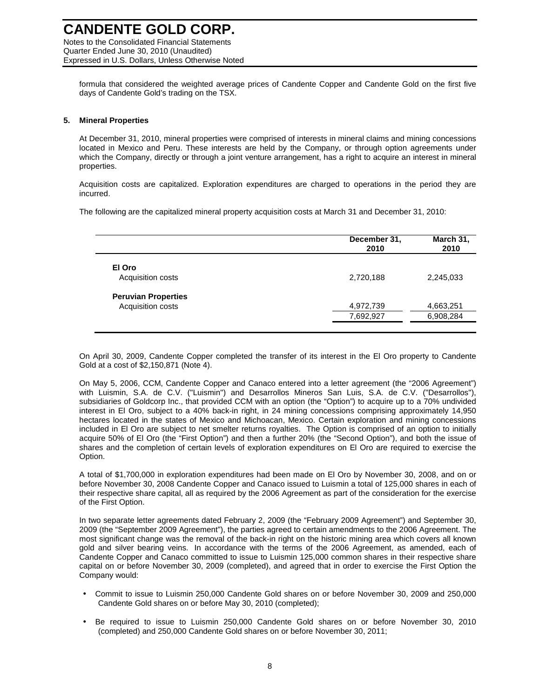Quarter Ended June 30, 2010 (Unaudited) Expressed in U.S. Dollars, Unless Otherwise Noted

formula that considered the weighted average prices of Candente Copper and Candente Gold on the first five days of Candente Gold's trading on the TSX.

### **5. Mineral Properties**

At December 31, 2010, mineral properties were comprised of interests in mineral claims and mining concessions located in Mexico and Peru. These interests are held by the Company, or through option agreements under which the Company, directly or through a joint venture arrangement, has a right to acquire an interest in mineral properties.

Acquisition costs are capitalized. Exploration expenditures are charged to operations in the period they are incurred.

The following are the capitalized mineral property acquisition costs at March 31 and December 31, 2010:

|                            | December 31,<br>2010 | March 31,<br>2010 |
|----------------------------|----------------------|-------------------|
| El Oro                     |                      |                   |
| Acquisition costs          | 2,720,188            | 2,245,033         |
| <b>Peruvian Properties</b> |                      |                   |
| Acquisition costs          | 4,972,739            | 4,663,251         |
|                            | 7,692,927            | 6,908,284         |

On April 30, 2009, Candente Copper completed the transfer of its interest in the El Oro property to Candente Gold at a cost of \$2,150,871 (Note 4).

On May 5, 2006, CCM, Candente Copper and Canaco entered into a letter agreement (the "2006 Agreement") with Luismin, S.A. de C.V. ("Luismin") and Desarrollos Mineros San Luis, S.A. de C.V. ("Desarrollos"), subsidiaries of Goldcorp Inc., that provided CCM with an option (the "Option") to acquire up to a 70% undivided interest in El Oro, subject to a 40% back-in right, in 24 mining concessions comprising approximately 14,950 hectares located in the states of Mexico and Michoacan, Mexico. Certain exploration and mining concessions included in El Oro are subject to net smelter returns royalties. The Option is comprised of an option to initially acquire 50% of El Oro (the "First Option") and then a further 20% (the "Second Option"), and both the issue of shares and the completion of certain levels of exploration expenditures on El Oro are required to exercise the Option.

A total of \$1,700,000 in exploration expenditures had been made on El Oro by November 30, 2008, and on or before November 30, 2008 Candente Copper and Canaco issued to Luismin a total of 125,000 shares in each of their respective share capital, all as required by the 2006 Agreement as part of the consideration for the exercise of the First Option.

In two separate letter agreements dated February 2, 2009 (the "February 2009 Agreement") and September 30, 2009 (the "September 2009 Agreement"), the parties agreed to certain amendments to the 2006 Agreement. The most significant change was the removal of the back-in right on the historic mining area which covers all known gold and silver bearing veins. In accordance with the terms of the 2006 Agreement, as amended, each of Candente Copper and Canaco committed to issue to Luismin 125,000 common shares in their respective share capital on or before November 30, 2009 (completed), and agreed that in order to exercise the First Option the Company would:

- Commit to issue to Luismin 250,000 Candente Gold shares on or before November 30, 2009 and 250,000 Candente Gold shares on or before May 30, 2010 (completed);
- Be required to issue to Luismin 250,000 Candente Gold shares on or before November 30, 2010 (completed) and 250,000 Candente Gold shares on or before November 30, 2011;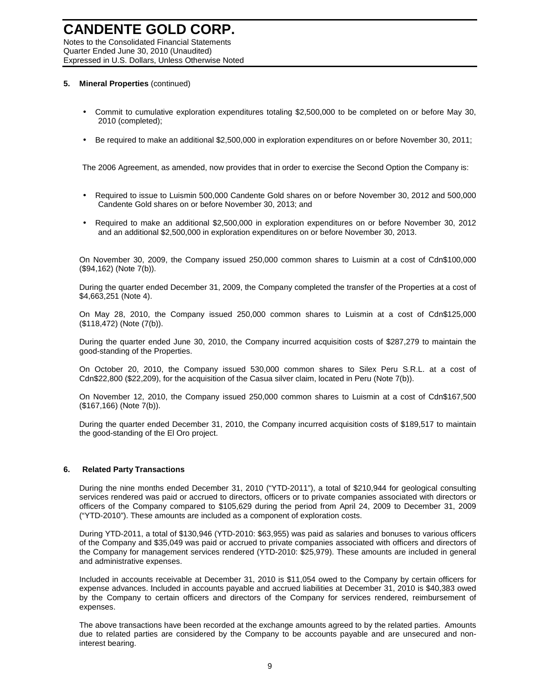Notes to the Consolidated Financial Statements Quarter Ended June 30, 2010 (Unaudited) Expressed in U.S. Dollars, Unless Otherwise Noted

### **5. Mineral Properties** (continued)

- Commit to cumulative exploration expenditures totaling \$2,500,000 to be completed on or before May 30, 2010 (completed);
- Be required to make an additional \$2,500,000 in exploration expenditures on or before November 30, 2011;

The 2006 Agreement, as amended, now provides that in order to exercise the Second Option the Company is:

- Required to issue to Luismin 500,000 Candente Gold shares on or before November 30, 2012 and 500,000 Candente Gold shares on or before November 30, 2013; and
- Required to make an additional \$2,500,000 in exploration expenditures on or before November 30, 2012 and an additional \$2,500,000 in exploration expenditures on or before November 30, 2013.

On November 30, 2009, the Company issued 250,000 common shares to Luismin at a cost of Cdn\$100,000 (\$94,162) (Note 7(b)).

During the quarter ended December 31, 2009, the Company completed the transfer of the Properties at a cost of \$4,663,251 (Note 4).

On May 28, 2010, the Company issued 250,000 common shares to Luismin at a cost of Cdn\$125,000 (\$118,472) (Note (7(b)).

During the quarter ended June 30, 2010, the Company incurred acquisition costs of \$287,279 to maintain the good-standing of the Properties.

On October 20, 2010, the Company issued 530,000 common shares to Silex Peru S.R.L. at a cost of Cdn\$22,800 (\$22,209), for the acquisition of the Casua silver claim, located in Peru (Note 7(b)).

On November 12, 2010, the Company issued 250,000 common shares to Luismin at a cost of Cdn\$167,500 (\$167,166) (Note 7(b)).

During the quarter ended December 31, 2010, the Company incurred acquisition costs of \$189,517 to maintain the good-standing of the El Oro project.

### **6. Related Party Transactions**

During the nine months ended December 31, 2010 ("YTD-2011"), a total of \$210,944 for geological consulting services rendered was paid or accrued to directors, officers or to private companies associated with directors or officers of the Company compared to \$105,629 during the period from April 24, 2009 to December 31, 2009 ("YTD-2010"). These amounts are included as a component of exploration costs.

During YTD-2011, a total of \$130,946 (YTD-2010: \$63,955) was paid as salaries and bonuses to various officers of the Company and \$35,049 was paid or accrued to private companies associated with officers and directors of the Company for management services rendered (YTD-2010: \$25,979). These amounts are included in general and administrative expenses.

Included in accounts receivable at December 31, 2010 is \$11,054 owed to the Company by certain officers for expense advances. Included in accounts payable and accrued liabilities at December 31, 2010 is \$40,383 owed by the Company to certain officers and directors of the Company for services rendered, reimbursement of expenses.

The above transactions have been recorded at the exchange amounts agreed to by the related parties. Amounts due to related parties are considered by the Company to be accounts payable and are unsecured and noninterest bearing.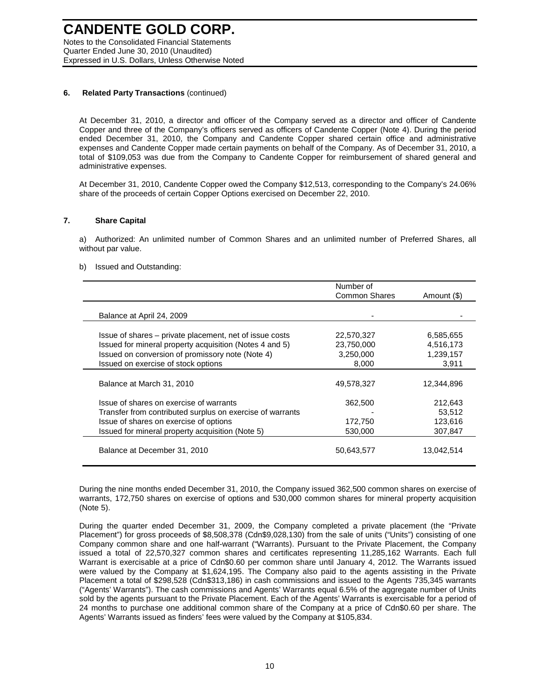### **6. Related Party Transactions** (continued)

Quarter Ended June 30, 2010 (Unaudited)

At December 31, 2010, a director and officer of the Company served as a director and officer of Candente Copper and three of the Company's officers served as officers of Candente Copper (Note 4). During the period ended December 31, 2010, the Company and Candente Copper shared certain office and administrative expenses and Candente Copper made certain payments on behalf of the Company. As of December 31, 2010, a total of \$109,053 was due from the Company to Candente Copper for reimbursement of shared general and administrative expenses.

At December 31, 2010, Candente Copper owed the Company \$12,513, corresponding to the Company's 24.06% share of the proceeds of certain Copper Options exercised on December 22, 2010.

### **7. Share Capital**

a) Authorized: An unlimited number of Common Shares and an unlimited number of Preferred Shares, all without par value.

#### b) Issued and Outstanding:

|                                                           | Number of<br><b>Common Shares</b> | Amount (\$) |
|-----------------------------------------------------------|-----------------------------------|-------------|
|                                                           |                                   |             |
| Balance at April 24, 2009                                 |                                   |             |
|                                                           |                                   |             |
| Issue of shares – private placement, net of issue costs   | 22,570,327                        | 6,585,655   |
| Issued for mineral property acquisition (Notes 4 and 5)   | 23,750,000                        | 4,516,173   |
| Issued on conversion of promissory note (Note 4)          | 3,250,000                         | 1,239,157   |
| Issued on exercise of stock options                       | 8,000                             | 3.911       |
|                                                           |                                   |             |
| Balance at March 31, 2010                                 | 49,578,327                        | 12,344,896  |
| Issue of shares on exercise of warrants                   | 362,500                           | 212,643     |
| Transfer from contributed surplus on exercise of warrants |                                   | 53,512      |
| Issue of shares on exercise of options                    | 172,750                           | 123,616     |
| Issued for mineral property acquisition (Note 5)          | 530,000                           | 307,847     |
| Balance at December 31, 2010                              | 50,643,577                        | 13,042,514  |

During the nine months ended December 31, 2010, the Company issued 362,500 common shares on exercise of warrants, 172,750 shares on exercise of options and 530,000 common shares for mineral property acquisition (Note 5).

During the quarter ended December 31, 2009, the Company completed a private placement (the "Private Placement") for gross proceeds of \$8,508,378 (Cdn\$9,028,130) from the sale of units ("Units") consisting of one Company common share and one half-warrant ("Warrants). Pursuant to the Private Placement, the Company issued a total of 22,570,327 common shares and certificates representing 11,285,162 Warrants. Each full Warrant is exercisable at a price of Cdn\$0.60 per common share until January 4, 2012. The Warrants issued were valued by the Company at \$1,624,195. The Company also paid to the agents assisting in the Private Placement a total of \$298,528 (Cdn\$313,186) in cash commissions and issued to the Agents 735,345 warrants ("Agents' Warrants"). The cash commissions and Agents' Warrants equal 6.5% of the aggregate number of Units sold by the agents pursuant to the Private Placement. Each of the Agents' Warrants is exercisable for a period of 24 months to purchase one additional common share of the Company at a price of Cdn\$0.60 per share. The Agents' Warrants issued as finders' fees were valued by the Company at \$105,834.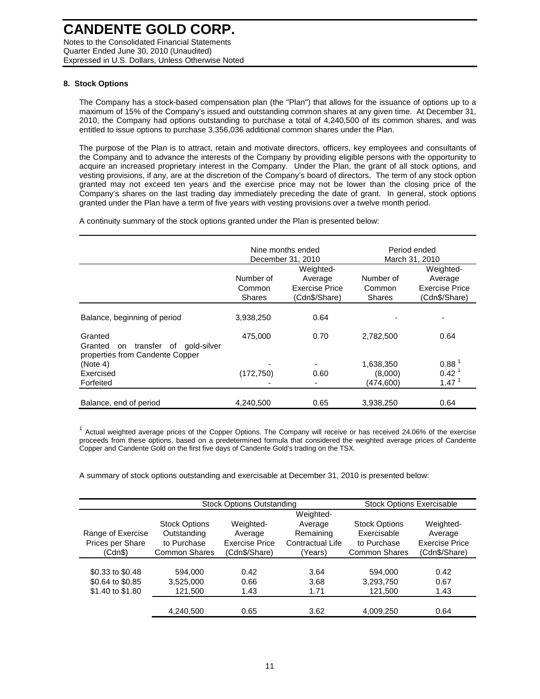### **8. Stock Options**

The Company has a stock-based compensation plan (the "Plan") that allows for the issuance of options up to a maximum of 15% of the Company's issued and outstanding common shares at any given time. At December 31, 2010, the Company had options outstanding to purchase a total of 4,240,500 of its common shares, and was entitled to issue options to purchase 3,356,036 additional common shares under the Plan.

The purpose of the Plan is to attract, retain and motivate directors, officers, key employees and consultants of the Company and to advance the interests of the Company by providing eligible persons with the opportunity to acquire an increased proprietary interest in the Company. Under the Plan, the grant of all stock options, and vesting provisions, if any, are at the discretion of the Company's board of directors. The term of any stock option granted may not exceed ten years and the exercise price may not be lower than the closing price of the Company's shares on the last trading day immediately preceding the date of grant. In general, stock options granted under the Plan have a term of five years with vesting provisions over a twelve month period.

A continuity summary of the stock options granted under the Plan is presented below:

|                                                                                           |                                      | Nine months ended<br>December 31, 2010                  | Period ended<br>March 31, 2010       |                                                                |  |  |
|-------------------------------------------------------------------------------------------|--------------------------------------|---------------------------------------------------------|--------------------------------------|----------------------------------------------------------------|--|--|
|                                                                                           | Number of<br>Common<br><b>Shares</b> | Weighted-<br>Average<br>Exercise Price<br>(Cdn\$/Share) | Number of<br>Common<br><b>Shares</b> | Weighted-<br>Average<br><b>Exercise Price</b><br>(Cdn\$/Share) |  |  |
| Balance, beginning of period                                                              | 3,938,250                            | 0.64                                                    |                                      |                                                                |  |  |
| Granted<br>Granted<br>transfer<br>of gold-silver<br>on<br>properties from Candente Copper | 475,000                              | 0.70                                                    | 2,782,500                            | 0.64                                                           |  |  |
| (Note 4)                                                                                  |                                      | ٠                                                       | 1,638,350                            | 0.88 <sup>1</sup>                                              |  |  |
| Exercised                                                                                 | (172, 750)                           | 0.60                                                    | (8,000)                              | $0.42^{\text{1}}$                                              |  |  |
| Forfeited                                                                                 |                                      |                                                         | (474,600)                            | 1.47 <sup>1</sup>                                              |  |  |
| Balance, end of period                                                                    | 4.240.500                            | 0.65                                                    | 3.938.250                            | 0.64                                                           |  |  |

 $1$  Actual weighted average prices of the Copper Options. The Company will receive or has received 24.06% of the exercise proceeds from these options, based on a predetermined formula that considered the weighted average prices of Candente Copper and Candente Gold on the first five days of Candente Gold's trading on the TSX.

A summary of stock options outstanding and exercisable at December 31, 2010 is presented below:

|                   | <b>Stock Options Outstanding</b> | <b>Stock Options Exercisable</b> |                  |                      |                       |
|-------------------|----------------------------------|----------------------------------|------------------|----------------------|-----------------------|
|                   |                                  |                                  | Weighted-        |                      |                       |
|                   | <b>Stock Options</b>             | Weighted-                        | Average          | <b>Stock Options</b> | Weighted-             |
| Range of Exercise | Outstanding                      | Average                          | Remaining        | Exercisable          | Average               |
| Prices per Share  | to Purchase                      | Exercise Price                   | Contractual Life | to Purchase          | <b>Exercise Price</b> |
| (Cdn\$)           | <b>Common Shares</b>             | (Cdn\$/Share)                    | (Years)          | <b>Common Shares</b> | (Cdn\$/Share)         |
|                   |                                  |                                  |                  |                      |                       |
| \$0.33 to \$0.48  | 594.000                          | 0.42                             | 3.64             | 594.000              | 0.42                  |
| \$0.64 to \$0.85  | 3,525,000                        | 0.66                             | 3.68             | 3,293,750            | 0.67                  |
| \$1.40 to \$1.80  | 121,500                          | 1.43                             | 1.71             | 121,500              | 1.43                  |
|                   |                                  |                                  |                  |                      |                       |
|                   | 4,240,500                        | 0.65                             | 3.62             | 4,009,250            | 0.64                  |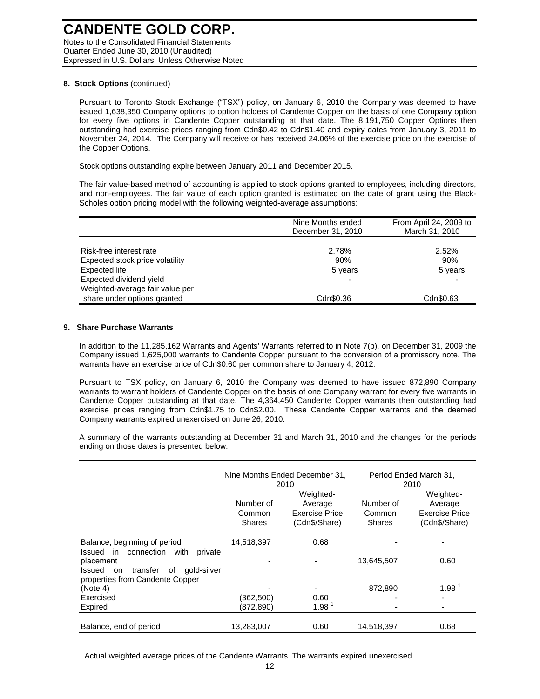#### **8. Stock Options** (continued)

Pursuant to Toronto Stock Exchange ("TSX") policy, on January 6, 2010 the Company was deemed to have issued 1,638,350 Company options to option holders of Candente Copper on the basis of one Company option for every five options in Candente Copper outstanding at that date. The 8,191,750 Copper Options then outstanding had exercise prices ranging from Cdn\$0.42 to Cdn\$1.40 and expiry dates from January 3, 2011 to November 24, 2014. The Company will receive or has received 24.06% of the exercise price on the exercise of the Copper Options.

Stock options outstanding expire between January 2011 and December 2015.

The fair value-based method of accounting is applied to stock options granted to employees, including directors, and non-employees. The fair value of each option granted is estimated on the date of grant using the Black-Scholes option pricing model with the following weighted-average assumptions:

|                                                                                           | Nine Months ended<br>December 31, 2010 | From April 24, 2009 to<br>March 31, 2010 |
|-------------------------------------------------------------------------------------------|----------------------------------------|------------------------------------------|
| Risk-free interest rate<br>Expected stock price volatility<br>Expected life               | 2.78%<br>90%<br>5 years                | 2.52%<br>90%<br>5 years                  |
| Expected dividend yield<br>Weighted-average fair value per<br>share under options granted | Cdn\$0.36                              | Cdn\$0.63                                |

#### **9. Share Purchase Warrants**

In addition to the 11,285,162 Warrants and Agents' Warrants referred to in Note 7(b), on December 31, 2009 the Company issued 1,625,000 warrants to Candente Copper pursuant to the conversion of a promissory note. The warrants have an exercise price of Cdn\$0.60 per common share to January 4, 2012.

Pursuant to TSX policy, on January 6, 2010 the Company was deemed to have issued 872,890 Company warrants to warrant holders of Candente Copper on the basis of one Company warrant for every five warrants in Candente Copper outstanding at that date. The 4,364,450 Candente Copper warrants then outstanding had exercise prices ranging from Cdn\$1.75 to Cdn\$2.00. These Candente Copper warrants and the deemed Company warrants expired unexercised on June 26, 2010.

A summary of the warrants outstanding at December 31 and March 31, 2010 and the changes for the periods ending on those dates is presented below:

|                                                                                               |                                      | Nine Months Ended December 31,<br>2010                         | Period Ended March 31,<br>2010       |                                                                |  |  |
|-----------------------------------------------------------------------------------------------|--------------------------------------|----------------------------------------------------------------|--------------------------------------|----------------------------------------------------------------|--|--|
|                                                                                               | Number of<br>Common<br><b>Shares</b> | Weighted-<br>Average<br><b>Exercise Price</b><br>(Cdn\$/Share) | Number of<br>Common<br><b>Shares</b> | Weighted-<br>Average<br><b>Exercise Price</b><br>(Cdn\$/Share) |  |  |
| Balance, beginning of period<br>connection with<br>Issued<br>in.<br>private                   | 14,518,397                           | 0.68                                                           |                                      |                                                                |  |  |
| placement<br>gold-silver<br>transfer<br>οf<br>Issued<br>on<br>properties from Candente Copper |                                      |                                                                | 13,645,507                           | 0.60                                                           |  |  |
| (Note 4)                                                                                      |                                      | ٠                                                              | 872.890                              | 1.98 <sup>1</sup>                                              |  |  |
| Exercised                                                                                     | (362,500)                            | 0.60                                                           |                                      |                                                                |  |  |
| Expired                                                                                       | (872, 890)                           | 1.98 <sup>1</sup>                                              |                                      |                                                                |  |  |
| Balance, end of period                                                                        | 13,283,007                           | 0.60                                                           | 14,518,397                           | 0.68                                                           |  |  |

 $1$  Actual weighted average prices of the Candente Warrants. The warrants expired unexercised.